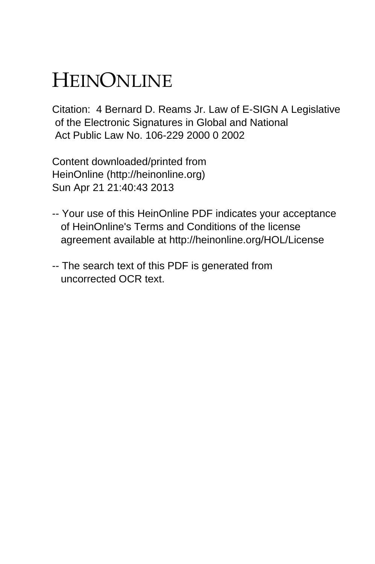## HEINONLINE

Citation: 4 Bernard D. Reams Jr. Law of E-SIGN A Legislative of the Electronic Signatures in Global and National Act Public Law No. 106-229 2000 0 2002

Content downloaded/printed from HeinOnline (http://heinonline.org) Sun Apr 21 21:40:43 2013

- -- Your use of this HeinOnline PDF indicates your acceptance of HeinOnline's Terms and Conditions of the license agreement available at http://heinonline.org/HOL/License
- -- The search text of this PDF is generated from uncorrected OCR text.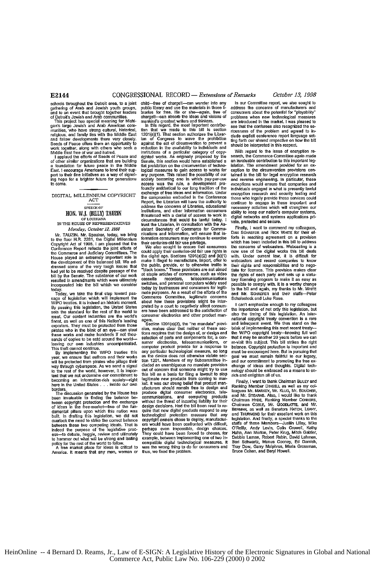exporters. They must be protected from those Secoitn 1201 **(c)(3),** the "no mandate" provi- and infrequent **event.** We thus stand **on** the

tant that we not undermine our commitment to this bill as a basis for filing a lawsuit to sto<sub>l</sub><br>becoming an information-rich society—right <sup>l</sup>egitimate new products from coming to mar

gan's large Jewish and Arab American com-<br>munities, who have strong cultural, historical is section and the section of the bill is section riousness of the problem and agreed the<br>religious, and family ties with the Middle Seeds of Peace offers them an opportunity to against the act of circumvention to prevent a should be interpreted in this respect.<br>work together, along with chers who seek a reduction in the availability to individuals and interest in the efforts of Seads of Peace and righted works. As originally proposed by the search, the Commerce Committee again made<br>of other similar organizations that are building Senate, this section would have establis East. I encourage Americans to lend their sup-<br>
Legion measures to gain access to works for ception to the circumvention provisions con-<br>
part to their fine initial text is related the possibility of our tained in the bill DIGITAL MILLENNIUM COPYRIGHT exchange of free ideas and information. Under encryption research and security testing and<br>ACT the compromise embodied in the Conference those who legally provide these services could<br>Report, t SEECH OF address the concerns of Libraries, educational precessary activities which will strengthen our<br>HON. W.J. (BILLY) TAUZIN institutions, and other information consumers ability to keep our nation's computer systems,<br>

**bi** discussed some of the very trough issues that the public, provide, or to otherwise traffic in their rights and to negotial the substance of the very trough issues that "black boxes." These provisions are not aimed tha the discussion of the state of the conders, telecommunications tory licensing program to make it as easy as resulted in amendments which were ultimately cassette recorders, telecommunications to yield as easy as recorder t hoday.<br>Today, we take the final step toward has media purposes, as a result of the efforts of the bill and again, my thanks to Mr. White<br>Today, we take the final step toward pass mate purposes. As a result of the efforts o sage of legislation which will implement the Commerce Committee, legitimate concerns Schalestock and Luke Rose.<br>WIPO treaties, it is indeed an historic moment. about how these provisions might be inter- I can't emphasize e WIPO teraties. It is indeed an instonce moment, and the rest of the rest of the rest of the rest of the rest of the rest of the rest of the rest of the standard of the standard of the importance of not only this legislatio consumer electronics and other product man- agers.

sion, makes clear that neither of these sec-<br>tions requires that the design of, or design and the WIPO copyright treaty-knowing full well these **works and** make hundreds **if** not **thou-** finns requires that the design of, or design and the WIPO copyright treaty-nowing full well ures was an interventions of the world—<br>Selection of parts and components for, a con-<br>that it may be another 20 years before we can<br>having our own industries uncompensated. Summer electronics, telecommunications, or re-vis We implementing the WIPO treaties the computer product provide for a response to balance. Copyright protection is important and<br>This theft cannot continue.<br>We implementing the WIPO treaties this any particular technologica will be protected from pirates who pillage their tion 1201. Members of my Subcommittee in-<br>way through cyberspace. As we send a signal cluded an unambiguous no mandate provision and the as and thoughts. Digital tech-<br>Way t **for the rest of concern that someone might try to use and ogy should be embraced** this bill as a basis for filing a lawsuit to stop rich and enlighten all of us. take what we review that we constant the light designed real property of the control of the magnitude of the back of the secondary and the back of the back of the back of the back of the back of the back of the back of the borders.<br>
The discussion of the House of our interducers should remain free to design and Ranking Member DikeGLL as well as my collecters.<br>
The discussion generated by the House has produce digital construct electronics, t overtick at these two competing ideals. That is ers would have been conformed with difficult, staffs of these Mentwen these two competing ideals. That is ers would have been conformed with difficult, O'Reilly, Andy Levin, ess—to debate, haggle, review and ultimately interved be the market place and concess, for relinit, Annivorum, retent to the word to harmone policy for the rest of the word to follow, compatible digital technological measu America. It was the wrong thing to do for consumers and thus, we fixed the problem.

schools throughout the Detroit area, to a joint child—free of chargell—can wander into any In our Committee report, we also sought to<br>gathering of Arab and Jewish youth groups, public library and use the materials in those schools throughout the Detroit area, to a joint child—free of charge!!—can wander into any ln our Committee report, we also sought to and to an event had Jewish youth groups, public library and use the materials in those

increased in the state of the relations and information, will ensure that in-<br>Mr. TAUZIN. Mr. Speaker, today, we bring inications and information, will ensure that in-<br>To be floor H.R. 2281, the Digital Millennium formatio Configure AC is a contract that the contract of the contract of contract contract of contractors. We be assumed that contract contract of the contract of the contract of the contract of the contract of the contract of the

finest, **as** well as **one** of this **Naion's** eading **agers.** national copyrigbt treaty **Convention** is a rare

HeinOnline -- 4 Bernard D. Reams, Jr., Law of E-SIGN: A Legislative History of the Electronic Signatures in Global and National Commerce Act, Public Law No. 106-229 (2000) 0 2002